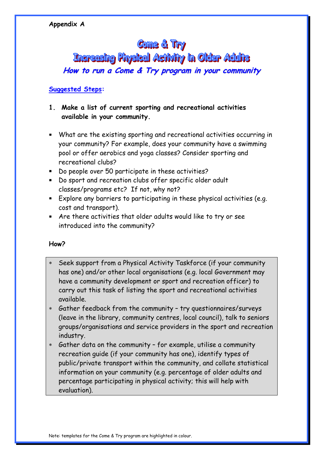# **Come & Try**

**Increasing Physical Activity in Older Adults** 

**How to run <sup>a</sup> Come & Try program in your community**

# **Suggested Steps:**

# **1. Make a list of current sporting and recreational activities available in your community.**

- What are the existing sporting and recreational activities occurring in your community? For example, does your community have a swimming pool or offer aerobics and yoga classes? Consider sporting and recreational clubs?
- Do people over 50 participate in these activities?
- Do sport and recreation clubs offer specific older adult classes/programs etc? If not, why not?
- Explore any barriers to participating in these physical activities (e.g. cost and transport).
- Are there activities that older adults would like to try or see introduced into the community?

# **How?**

- ∗ Seek support from a Physical Activity Taskforce (if your community has one) and/or other local organisations (e.g. local Government may have a community development or sport and recreation officer) to carry out this task of listing the sport and recreational activities available.
- ∗ Gather feedback from the community try questionnaires/surveys (leave in the library, community centres, local council), talk to seniors groups/organisations and service providers in the sport and recreation industry.
- ∗ Gather data on the community for example, utilise a community recreation guide (if your community has one), identify types of public/private transport within the community, and collate statistical information on your community (e.g. percentage of older adults and percentage participating in physical activity; this will help with evaluation).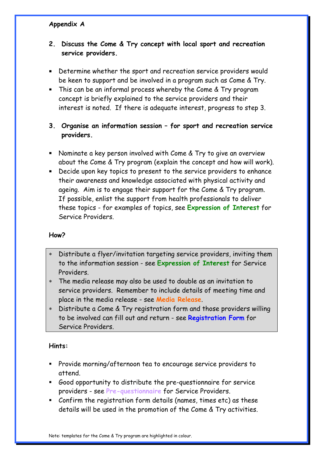# **2. Discuss the Come & Try concept with local sport and recreation service providers.**

- Determine whether the sport and recreation service providers would be keen to support and be involved in a program such as Come & Try.
- This can be an informal process whereby the Come & Try program concept is briefly explained to the service providers and their interest is noted. If there is adequate interest, progress to step 3.
- **3. Organise an information session for sport and recreation service providers.**
- Nominate a key person involved with Come & Try to give an overview about the Come & Try program (explain the concept and how will work).
- Decide upon key topics to present to the service providers to enhance their awareness and knowledge associated with physical activity and ageing. Aim is to engage their support for the Come & Try program. If possible, enlist the support from health professionals to deliver these topics - for examples of topics, see **Expression of Interest** for Service Providers.

# **How?**

- Distribute a flyer/invitation targeting service providers, inviting them to the information session - see **Expression of Interest** for Service Providers.
- ∗ The media release may also be used to double as an invitation to service providers. Remember to include details of meeting time and place in the media release - see **Media Release**.
- ∗ Distribute a Come & Try registration form and those providers willing to be involved can fill out and return - see **Registration Form** for Service Providers.

# **Hints:**

- Provide morning/afternoon tea to encourage service providers to attend.
- Good opportunity to distribute the pre-questionnaire for service providers - see **Pre-questionnaire** for Service Providers.
- Confirm the registration form details (names, times etc) as these details will be used in the promotion of the Come & Try activities.

Note: templates for the Come & Try program are highlighted in colour.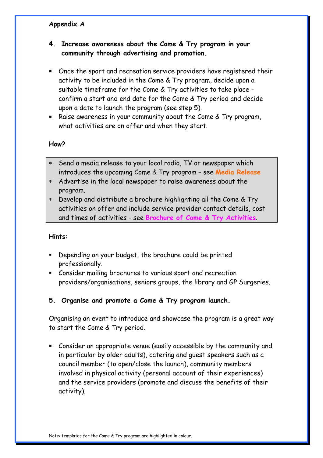# **4. Increase awareness about the Come & Try program in your community through advertising and promotion.**

- Once the sport and recreation service providers have registered their activity to be included in the Come & Try program, decide upon a suitable timeframe for the Come & Try activities to take place confirm a start and end date for the Come & Try period and decide upon a date to launch the program (see step 5).
- Raise awareness in your community about the Come & Try program, what activities are on offer and when they start.

## **How?**

- Send a media release to your local radio, TV or newspaper which introduces the upcoming Come & Try program – see **Media Release**
- ∗ Advertise in the local newspaper to raise awareness about the program.
- ∗ Develop and distribute a brochure highlighting all the Come & Try activities on offer and include service provider contact details, cost and times of activities - see **Brochure of Come & Try Activities**.

#### **Hints:**

- Depending on your budget, the brochure could be printed professionally.
- Consider mailing brochures to various sport and recreation providers/organisations, seniors groups, the library and GP Surgeries.

# **5. Organise and promote a Come & Try program launch.**

Organising an event to introduce and showcase the program is a great way to start the Come & Try period.

 Consider an appropriate venue (easily accessible by the community and in particular by older adults), catering and guest speakers such as a council member (to open/close the launch), community members involved in physical activity (personal account of their experiences) and the service providers (promote and discuss the benefits of their activity).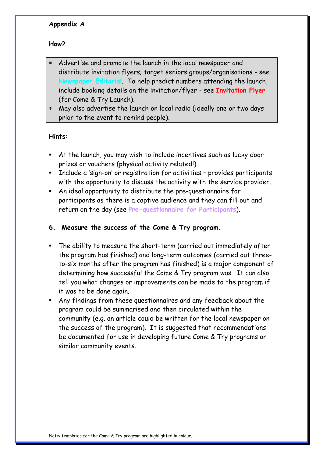# **How?**

- Advertise and promote the launch in the local newspaper and distribute invitation flyers; target seniors groups/organisations - see **Newspaper Editorial**. To help predict numbers attending the launch, include booking details on the invitation/flyer - see **Invitation Flyer** (for Come & Try Launch).
- ∗ May also advertise the launch on local radio (ideally one or two days prior to the event to remind people).

## **Hints:**

- At the launch, you may wish to include incentives such as lucky door prizes or vouchers (physical activity related!).
- **Include a 'sign-on' or registration for activities provides participants** with the opportunity to discuss the activity with the service provider.
- An ideal opportunity to distribute the pre-questionnaire for participants as there is a captive audience and they can fill out and return on the day (see **Pre-questionnaire for Participants**).
- **6. Measure the success of the Come & Try program.**
- The ability to measure the short-term (carried out immediately after the program has finished) and long-term outcomes (carried out threeto-six months after the program has finished) is a major component of determining how successful the Come & Try program was. It can also tell you what changes or improvements can be made to the program if it was to be done again.
- Any findings from these questionnaires and any feedback about the program could be summarised and then circulated within the community (e.g. an article could be written for the local newspaper on the success of the program). It is suggested that recommendations be documented for use in developing future Come & Try programs or similar community events.